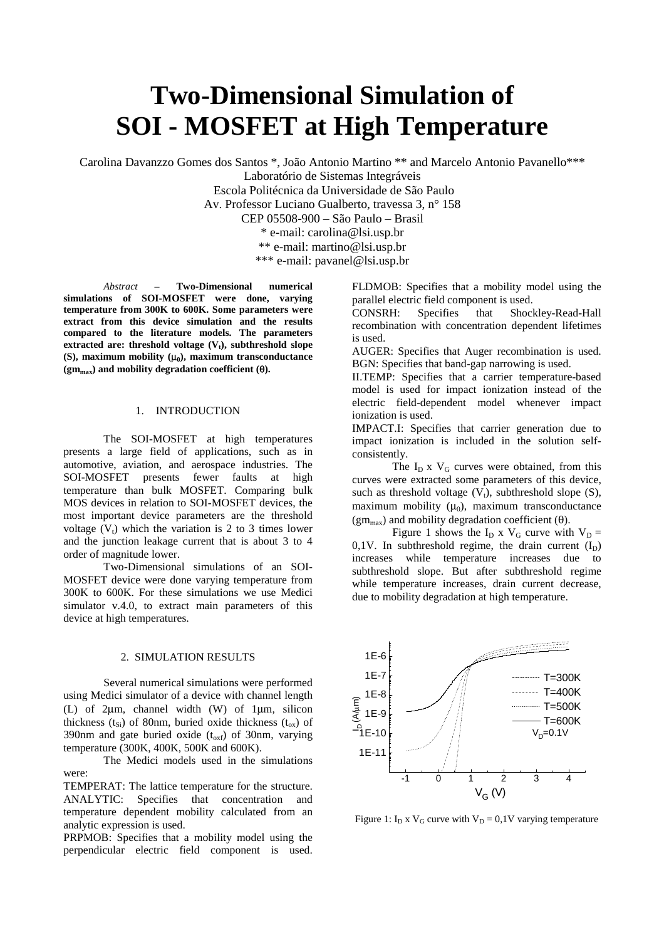# **Two-Dimensional Simulation of SOI - MOSFET at High Temperature**

Carolina Davanzzo Gomes dos Santos \*, João Antonio Martino \*\* and Marcelo Antonio Pavanello\*\*\*

Laboratório de Sistemas Integráveis

Escola Politécnica da Universidade de São Paulo

Av. Professor Luciano Gualberto, travessa 3, n° 158

CEP 05508-900 – São Paulo – Brasil

\* e-mail: carolina@lsi.usp.br

\*\* e-mail: martino@lsi.usp.br

\*\*\* e-mail: pavanel@lsi.usp.br

*Abstract –* **Two-Dimensional numerical simulations of SOI-MOSFET were done, varying temperature from 300K to 600K. Some parameters were extract from this device simulation and the results compared to the literature models. The parameters**  $extrated are: threshold voltage  $(V_t)$ , subthreshold slope$ **(S), maximum mobility (**µ**0), maximum transconductance (gmmax) and mobility degradation coefficient (**θ**).**

### 1. INTRODUCTION

The SOI-MOSFET at high temperatures presents a large field of applications, such as in automotive, aviation, and aerospace industries. The SOI-MOSFET presents fewer faults at high temperature than bulk MOSFET. Comparing bulk MOS devices in relation to SOI-MOSFET devices, the most important device parameters are the threshold voltage  $(V_t)$  which the variation is 2 to 3 times lower and the junction leakage current that is about 3 to 4 order of magnitude lower.

Two-Dimensional simulations of an SOI-MOSFET device were done varying temperature from 300K to 600K. For these simulations we use Medici simulator v.4.0, to extract main parameters of this device at high temperatures.

## 2. SIMULATION RESULTS

Several numerical simulations were performed using Medici simulator of a device with channel length (L) of 2µm, channel width (W) of 1µm, silicon thickness ( $t_{Si}$ ) of 80nm, buried oxide thickness ( $t_{ox}$ ) of 390nm and gate buried oxide  $(t_{oxf})$  of 30nm, varying temperature (300K, 400K, 500K and 600K).

The Medici models used in the simulations were:

TEMPERAT: The lattice temperature for the structure. ANALYTIC: Specifies that concentration and temperature dependent mobility calculated from an analytic expression is used.

PRPMOB: Specifies that a mobility model using the perpendicular electric field component is used. FLDMOB: Specifies that a mobility model using the parallel electric field component is used.

CONSRH: Specifies that Shockley-Read-Hall recombination with concentration dependent lifetimes is used.

AUGER: Specifies that Auger recombination is used. BGN: Specifies that band-gap narrowing is used.

II.TEMP: Specifies that a carrier temperature-based model is used for impact ionization instead of the electric field-dependent model whenever impact ionization is used.

IMPACT.I: Specifies that carrier generation due to impact ionization is included in the solution selfconsistently.

The  $I_D$  x  $V_G$  curves were obtained, from this curves were extracted some parameters of this device, such as threshold voltage  $(V_t)$ , subthreshold slope  $(S)$ , maximum mobility  $(\mu_0)$ , maximum transconductance  $(gm<sub>max</sub>)$  and mobility degradation coefficient (θ).

Figure 1 shows the  $I_D$  x  $V_G$  curve with  $V_D$  =  $0,1$ V. In subthreshold regime, the drain current  $(I_D)$  increases while temperature increases due to increases while temperature increases due subthreshold slope. But after subthreshold regime while temperature increases, drain current decrease, due to mobility degradation at high temperature.



Figure 1:  $I_D$  x  $V_G$  curve with  $V_D = 0.1V$  varying temperature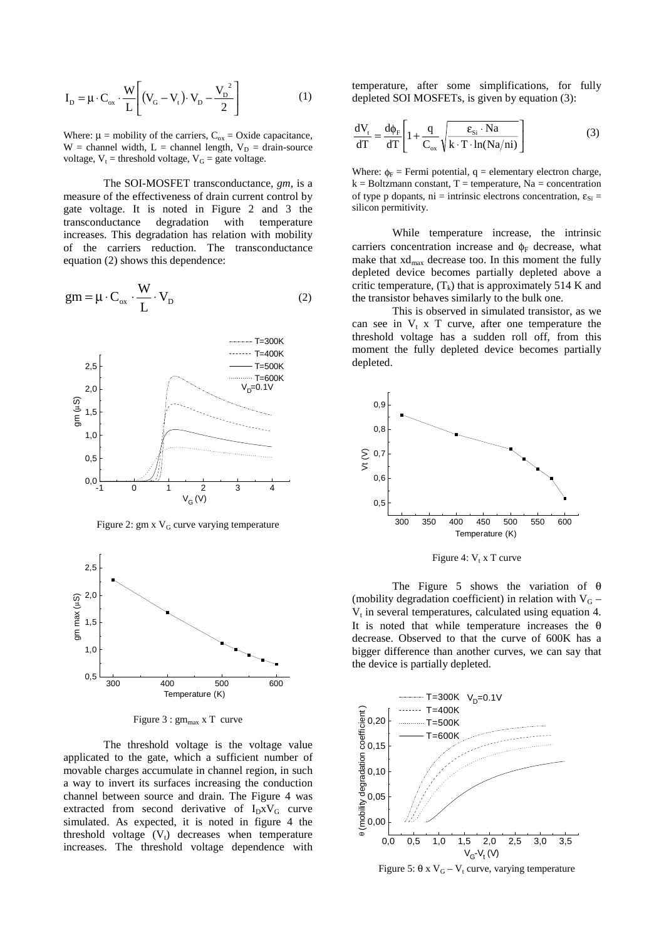$$
I_{D} = \mu \cdot C_{ox} \cdot \frac{W}{L} \left[ (V_{G} - V_{t}) \cdot V_{D} - \frac{V_{D}^{2}}{2} \right]
$$
 (1)

Where:  $\mu$  = mobility of the carriers,  $C_{ox}$  = Oxide capacitance,  $W =$  channel width,  $L =$  channel length,  $V_D =$  drain-source voltage,  $V_t$  = threshold voltage,  $V_G$  = gate voltage.

The SOI-MOSFET transconductance, *gm*, is a measure of the effectiveness of drain current control by gate voltage. It is noted in Figure 2 and 3 the transconductance degradation with temperature increases. This degradation has relation with mobility of the carriers reduction. The transconductance equation (2) shows this dependence:

$$
gm = \mu \cdot C_{ox} \cdot \frac{W}{L} \cdot V_D
$$
 (2)



Figure 2: gm x  $V_G$  curve varying temperature



Figure  $3:gm_{max}$  x T curve

The threshold voltage is the voltage value applicated to the gate, which a sufficient number of movable charges accumulate in channel region, in such a way to invert its surfaces increasing the conduction channel between source and drain. The Figure 4 was extracted from second derivative of  $I_D x V_G$  curve simulated. As expected, it is noted in figure 4 the threshold voltage  $(V_t)$  decreases when temperature increases. The threshold voltage dependence with

temperature, after some simplifications, for fully depleted SOI MOSFETs, is given by equation (3):

$$
\frac{dV_t}{dT} = \frac{d\phi_F}{dT} \left[ 1 + \frac{q}{C_{ox}} \sqrt{\frac{\epsilon_{Si} \cdot Na}{k \cdot T \cdot \ln(Na/ni)}} \right]
$$
(3)

Where:  $\phi_F$  = Fermi potential, q = elementary electron charge,  $k = Boltzmann constant, T = temperature, Na = concentration$ of type p dopants, ni = intrinsic electrons concentration,  $\varepsilon_{\text{Si}}$  = silicon permitivity.

While temperature increase, the intrinsic carriers concentration increase and  $\phi_F$  decrease, what make that  $xd_{max}$  decrease too. In this moment the fully depleted device becomes partially depleted above a critic temperature,  $(T_k)$  that is approximately 514 K and the transistor behaves similarly to the bulk one.

This is observed in simulated transistor, as we can see in  $V_t$  x T curve, after one temperature the threshold voltage has a sudden roll off, from this moment the fully depleted device becomes partially depleted.



Figure 4:  $V_t$  x T curve

The Figure 5 shows the variation of θ (mobility degradation coefficient) in relation with V<sub>G</sub> –  $V_t$  in several temperatures, calculated using equation 4. It is noted that while temperature increases the  $\theta$ decrease. Observed to that the curve of 600K has a bigger difference than another curves, we can say that the device is partially depleted.



Figure 5: θ x V<sub>G</sub> – V<sub>t</sub> curve, varying temperature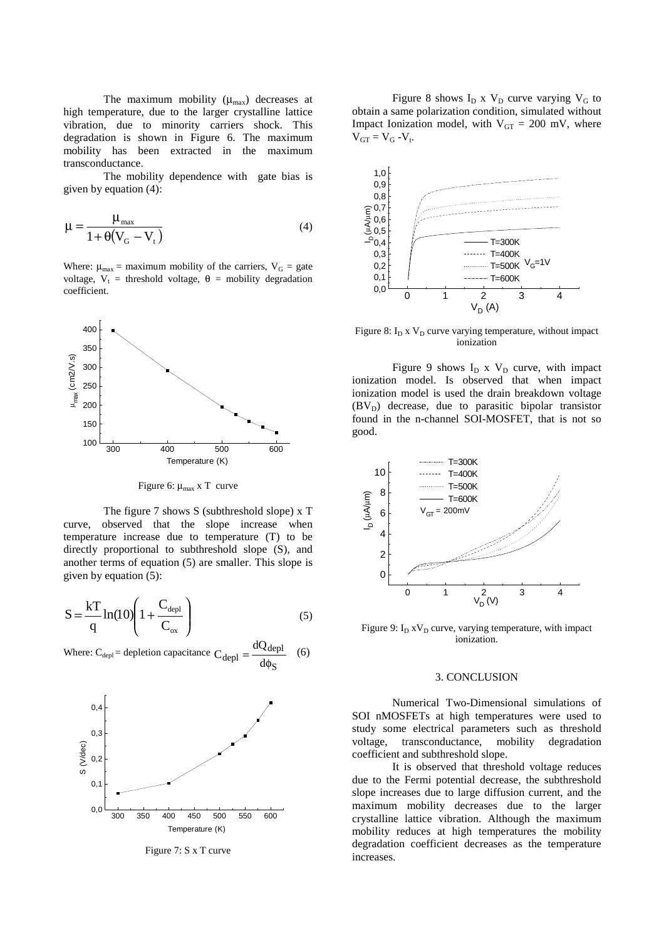The maximum mobility  $(\mu_{\text{max}})$  decreases at high temperature, due to the larger crystalline lattice vibration, due to minority carriers shock. This degradation is shown in Figure 6. The maximum mobility has been extracted in the maximum transconductance.

The mobility dependence with gate bias is given by equation (4):

$$
\mu = \frac{\mu_{\text{max}}}{1 + \theta (V_{\text{G}} - V_{\text{t}})}
$$
(4)

Where:  $\mu_{\text{max}} =$  maximum mobility of the carriers,  $V_G =$  gate voltage,  $V_t$  = threshold voltage,  $\theta$  = mobility degradation coefficient.



Figure 6:  $\mu_{\text{max}}$  x T curve

The figure 7 shows S (subthreshold slope) x T curve, observed that the slope increase when temperature increase due to temperature (T) to be directly proportional to subthreshold slope (S), and another terms of equation (5) are smaller. This slope is given by equation (5):

$$
S = \frac{kT}{q} \ln(10) \left( 1 + \frac{C_{\text{depl}}}{C_{ox}} \right)
$$
 (5)

Where:  $C_{\text{depl}}$  = depletion capacitance S depl  $C_{depl} = \frac{dQ_{depl}}{d\phi_S}$  (6)



Figure 7: S x T curve

Figure 8 shows  $I_D$  x  $V_D$  curve varying  $V_G$  to obtain a same polarization condition, simulated without Impact Ionization model, with  $V_{GT} = 200$  mV, where  $V_{GT} = V_G - V_t$ .



Figure 8:  $I_D$  x  $V_D$  curve varying temperature, without impact ionization

Figure 9 shows  $I_D$  x  $V_D$  curve, with impact ionization model. Is observed that when impact ionization model is used the drain breakdown voltage  $(BV_D)$  decrease, due to parasitic bipolar transistor found in the n-channel SOI-MOSFET, that is not so good.



Figure 9:  $I_D xV_D$  curve, varying temperature, with impact ionization.

### 3. CONCLUSION

Numerical Two-Dimensional simulations of SOI nMOSFETs at high temperatures were used to study some electrical parameters such as threshold voltage, transconductance, mobility degradation coefficient and subthreshold slope.

It is observed that threshold voltage reduces due to the Fermi potential decrease, the subthreshold slope increases due to large diffusion current, and the maximum mobility decreases due to the larger crystalline lattice vibration. Although the maximum mobility reduces at high temperatures the mobility degradation coefficient decreases as the temperature increases.